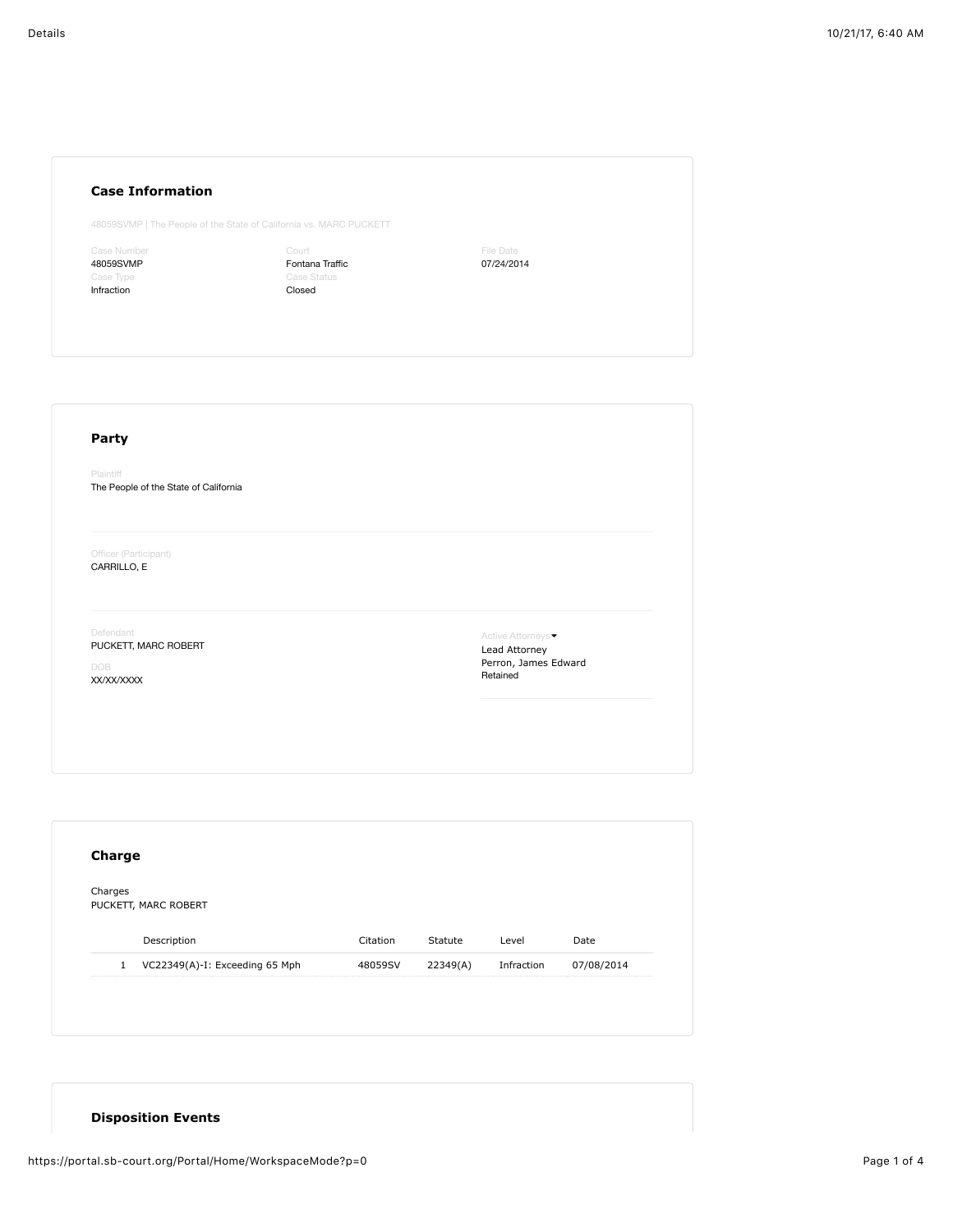## **Case Information**

48059SVMP | The People of the State of California vs. MARC PUCKETT

Case Number 48059SVMP Infraction

Court Fontana Traffic Case Status Closed

File Date 07/24/2014

## **Party**

Plaintiff The People of the State of California

Officer (Participant) CARRILLO, E

Defendant

PUCKETT, MARC ROBERT

DOB XX/XX/XXXX

Active Attorneys • Lead Attorney Perron, James Edward Retained

| Charges<br>PUCKETT, MARC ROBERT |                                |          |          |            |            |
|---------------------------------|--------------------------------|----------|----------|------------|------------|
|                                 |                                |          |          |            |            |
|                                 | Description                    | Citation | Statute  | Level      | Date       |
| $\mathbf{1}$                    | VC22349(A)-I: Exceeding 65 Mph | 48059SV  | 22349(A) | Infraction | 07/08/2014 |

## **Disposition Events**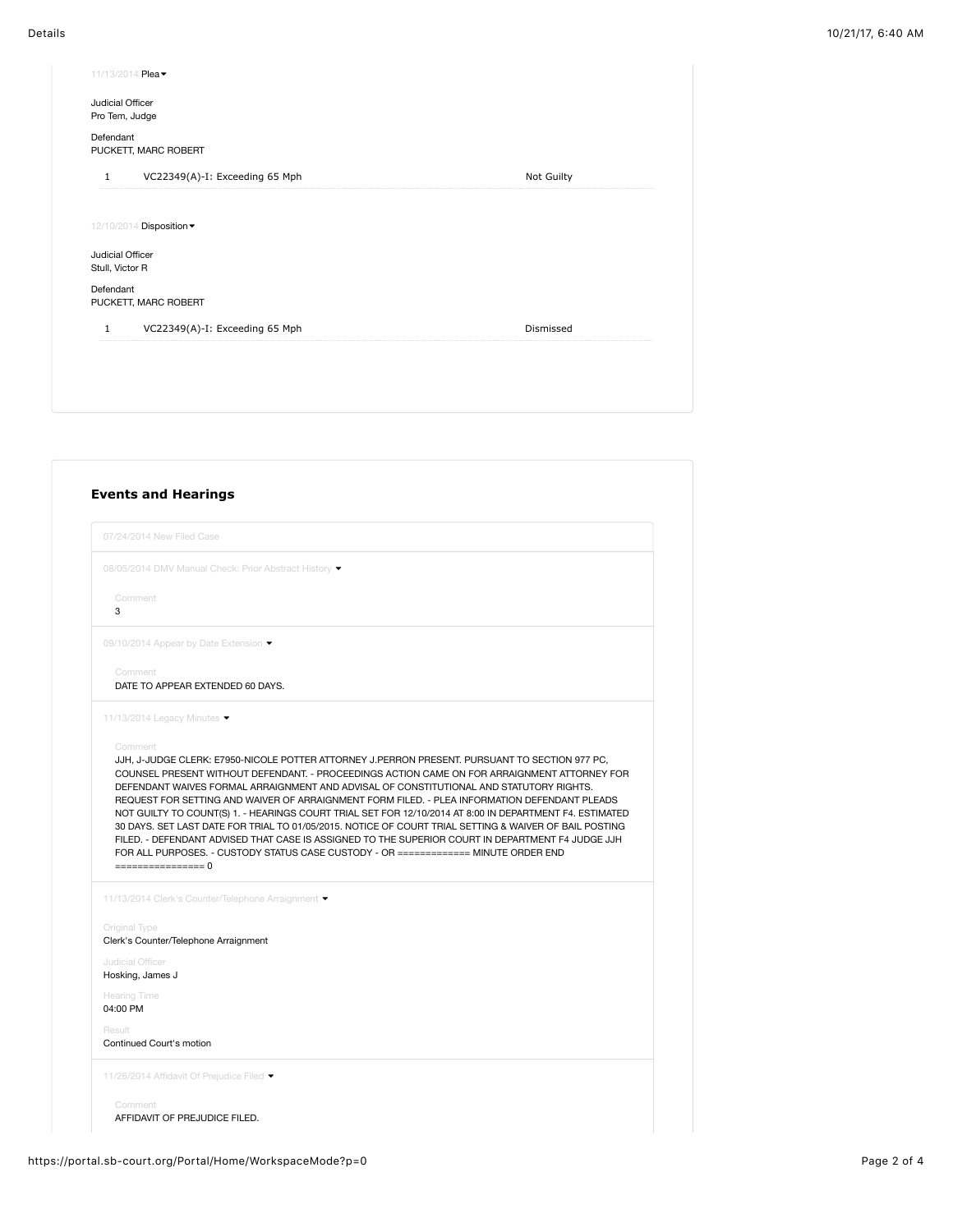| 11/13/2014 Plea -                              |            |  |  |  |  |  |  |
|------------------------------------------------|------------|--|--|--|--|--|--|
| Judicial Officer<br>Pro Tem, Judge             |            |  |  |  |  |  |  |
| Defendant<br>PUCKETT, MARC ROBERT              |            |  |  |  |  |  |  |
| VC22349(A)-I: Exceeding 65 Mph<br>$\mathbf{1}$ | Not Guilty |  |  |  |  |  |  |
|                                                |            |  |  |  |  |  |  |
| 12/10/2014 Disposition -                       |            |  |  |  |  |  |  |
| Judicial Officer<br>Stull, Victor R            |            |  |  |  |  |  |  |
| Defendant<br>PUCKETT, MARC ROBERT              |            |  |  |  |  |  |  |
| VC22349(A)-I: Exceeding 65 Mph<br>$\mathbf{1}$ | Dismissed  |  |  |  |  |  |  |
|                                                |            |  |  |  |  |  |  |
|                                                |            |  |  |  |  |  |  |

|   | 08/05/2014 DMV Manual Check: Prior Abstract History •                                                                                                                                                                                                                                                                                                                                                                                                                                                              |
|---|--------------------------------------------------------------------------------------------------------------------------------------------------------------------------------------------------------------------------------------------------------------------------------------------------------------------------------------------------------------------------------------------------------------------------------------------------------------------------------------------------------------------|
|   | Comment                                                                                                                                                                                                                                                                                                                                                                                                                                                                                                            |
| 3 |                                                                                                                                                                                                                                                                                                                                                                                                                                                                                                                    |
|   | 09/10/2014 Appear by Date Extension ▼                                                                                                                                                                                                                                                                                                                                                                                                                                                                              |
|   | Comment<br>DATE TO APPEAR EXTENDED 60 DAYS.                                                                                                                                                                                                                                                                                                                                                                                                                                                                        |
|   | 11/13/2014 Legacy Minutes ▼                                                                                                                                                                                                                                                                                                                                                                                                                                                                                        |
|   | DEFENDANT WAIVES FORMAL ARRAIGNMENT AND ADVISAL OF CONSTITUTIONAL AND STATUTORY RIGHTS.<br>REQUEST FOR SETTING AND WAIVER OF ARRAIGNMENT FORM FILED. - PLEA INFORMATION DEFENDANT PLEADS<br>NOT GUILTY TO COUNT(S) 1. - HEARINGS COURT TRIAL SET FOR 12/10/2014 AT 8:00 IN DEPARTMENT F4. ESTIMATED<br>30 DAYS. SET LAST DATE FOR TRIAL TO 01/05/2015. NOTICE OF COURT TRIAL SETTING & WAIVER OF BAIL POSTING<br>FILED. - DEFENDANT ADVISED THAT CASE IS ASSIGNED TO THE SUPERIOR COURT IN DEPARTMENT F4 JUDGE JJH |
|   | FOR ALL PURPOSES. - CUSTODY STATUS CASE CUSTODY - OR ============= MINUTE ORDER END<br>================= 0                                                                                                                                                                                                                                                                                                                                                                                                         |
|   | 11/13/2014 Clerk's Counter/Telephone Arraignment ▼                                                                                                                                                                                                                                                                                                                                                                                                                                                                 |
|   | Original Type<br>Clerk's Counter/Telephone Arraignment                                                                                                                                                                                                                                                                                                                                                                                                                                                             |
|   | Judicial Officer<br>Hosking, James J                                                                                                                                                                                                                                                                                                                                                                                                                                                                               |
|   | <b>Hearing Time</b><br>04:00 PM                                                                                                                                                                                                                                                                                                                                                                                                                                                                                    |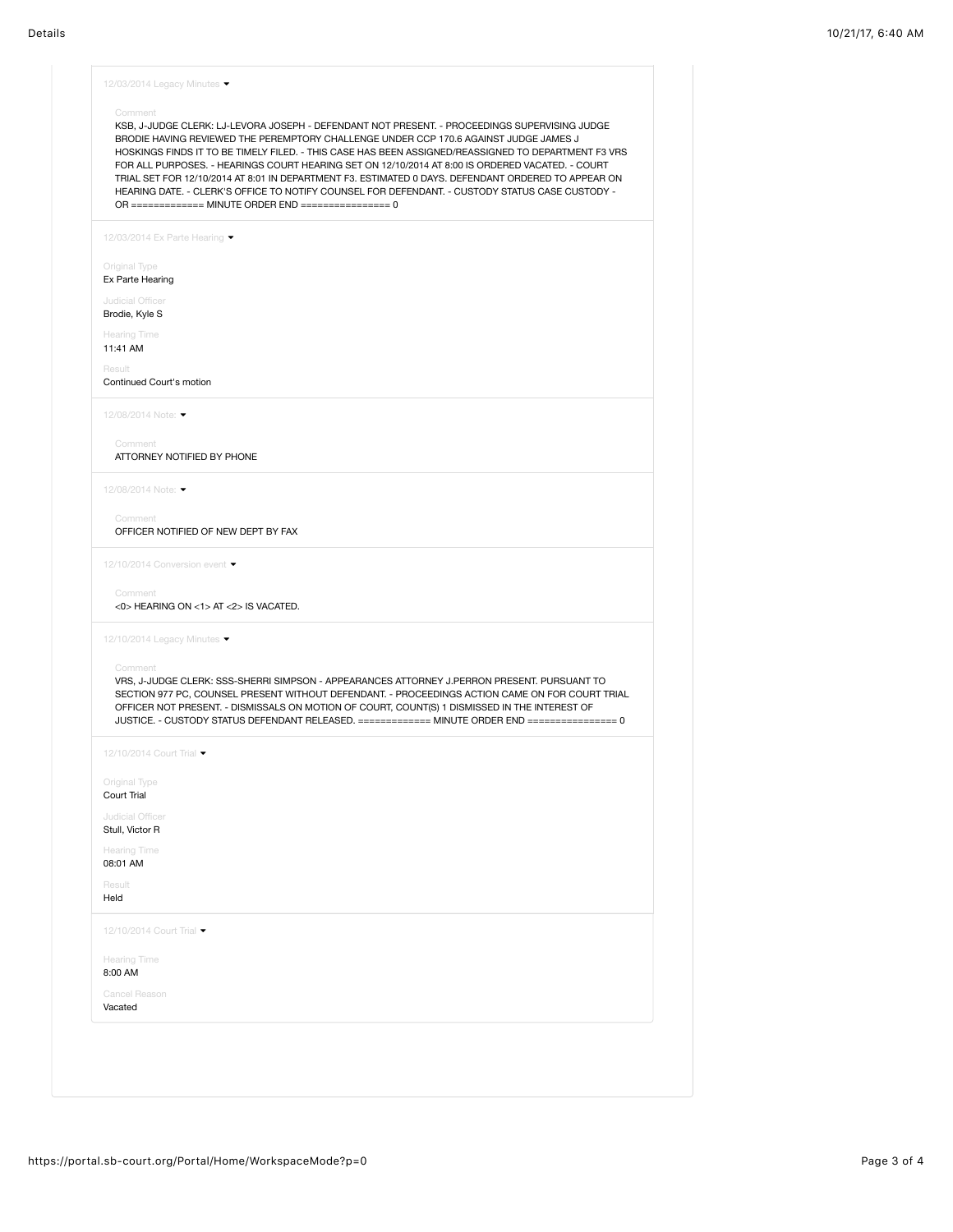| Comment                               | KSB, J-JUDGE CLERK: LJ-LEVORA JOSEPH - DEFENDANT NOT PRESENT. - PROCEEDINGS SUPERVISING JUDGE<br>BRODIE HAVING REVIEWED THE PEREMPTORY CHALLENGE UNDER CCP 170.6 AGAINST JUDGE JAMES J<br>HOSKINGS FINDS IT TO BE TIMELY FILED. - THIS CASE HAS BEEN ASSIGNED/REASSIGNED TO DEPARTMENT F3 VRS<br>FOR ALL PURPOSES. - HEARINGS COURT HEARING SET ON 12/10/2014 AT 8:00 IS ORDERED VACATED. - COURT<br>TRIAL SET FOR 12/10/2014 AT 8:01 IN DEPARTMENT F3. ESTIMATED 0 DAYS. DEFENDANT ORDERED TO APPEAR ON<br>HEARING DATE. - CLERK'S OFFICE TO NOTIFY COUNSEL FOR DEFENDANT. - CUSTODY STATUS CASE CUSTODY -<br>OR ============= MINUTE ORDER END ================= 0 |
|---------------------------------------|----------------------------------------------------------------------------------------------------------------------------------------------------------------------------------------------------------------------------------------------------------------------------------------------------------------------------------------------------------------------------------------------------------------------------------------------------------------------------------------------------------------------------------------------------------------------------------------------------------------------------------------------------------------------|
| 12/03/2014 Ex Parte Hearing •         |                                                                                                                                                                                                                                                                                                                                                                                                                                                                                                                                                                                                                                                                      |
| Original Type                         |                                                                                                                                                                                                                                                                                                                                                                                                                                                                                                                                                                                                                                                                      |
| Ex Parte Hearing                      |                                                                                                                                                                                                                                                                                                                                                                                                                                                                                                                                                                                                                                                                      |
| Judicial Officer<br>Brodie, Kyle S    |                                                                                                                                                                                                                                                                                                                                                                                                                                                                                                                                                                                                                                                                      |
| <b>Hearing Time</b>                   |                                                                                                                                                                                                                                                                                                                                                                                                                                                                                                                                                                                                                                                                      |
| 11:41 AM                              |                                                                                                                                                                                                                                                                                                                                                                                                                                                                                                                                                                                                                                                                      |
| Result<br>Continued Court's motion    |                                                                                                                                                                                                                                                                                                                                                                                                                                                                                                                                                                                                                                                                      |
| 12/08/2014 Note: ▼                    |                                                                                                                                                                                                                                                                                                                                                                                                                                                                                                                                                                                                                                                                      |
|                                       |                                                                                                                                                                                                                                                                                                                                                                                                                                                                                                                                                                                                                                                                      |
| Comment<br>ATTORNEY NOTIFIED BY PHONE |                                                                                                                                                                                                                                                                                                                                                                                                                                                                                                                                                                                                                                                                      |
| 12/08/2014 Note:                      |                                                                                                                                                                                                                                                                                                                                                                                                                                                                                                                                                                                                                                                                      |
| Comment                               |                                                                                                                                                                                                                                                                                                                                                                                                                                                                                                                                                                                                                                                                      |
| OFFICER NOTIFIED OF NEW DEPT BY FAX   |                                                                                                                                                                                                                                                                                                                                                                                                                                                                                                                                                                                                                                                                      |
| 12/10/2014 Conversion event ▼         |                                                                                                                                                                                                                                                                                                                                                                                                                                                                                                                                                                                                                                                                      |
| Comment                               |                                                                                                                                                                                                                                                                                                                                                                                                                                                                                                                                                                                                                                                                      |
| <0> HEARING ON <1> AT <2> IS VACATED. |                                                                                                                                                                                                                                                                                                                                                                                                                                                                                                                                                                                                                                                                      |
| 12/10/2014 Legacy Minutes ▼           |                                                                                                                                                                                                                                                                                                                                                                                                                                                                                                                                                                                                                                                                      |
| Comment                               |                                                                                                                                                                                                                                                                                                                                                                                                                                                                                                                                                                                                                                                                      |
|                                       | VRS, J-JUDGE CLERK: SSS-SHERRI SIMPSON - APPEARANCES ATTORNEY J.PERRON PRESENT. PURSUANT TO<br>SECTION 977 PC, COUNSEL PRESENT WITHOUT DEFENDANT. - PROCEEDINGS ACTION CAME ON FOR COURT TRIAL<br>OFFICER NOT PRESENT. - DISMISSALS ON MOTION OF COURT, COUNT(S) 1 DISMISSED IN THE INTEREST OF<br>JUSTICE. - CUSTODY STATUS DEFENDANT RELEASED. ============ MINUTE ORDER END =============== 0                                                                                                                                                                                                                                                                     |
| 12/10/2014 Court Trial ▼              |                                                                                                                                                                                                                                                                                                                                                                                                                                                                                                                                                                                                                                                                      |
| Original Type                         |                                                                                                                                                                                                                                                                                                                                                                                                                                                                                                                                                                                                                                                                      |
| Court Trial                           |                                                                                                                                                                                                                                                                                                                                                                                                                                                                                                                                                                                                                                                                      |
| Judicial Officer<br>Stull, Victor R   |                                                                                                                                                                                                                                                                                                                                                                                                                                                                                                                                                                                                                                                                      |
| <b>Hearing Time</b>                   |                                                                                                                                                                                                                                                                                                                                                                                                                                                                                                                                                                                                                                                                      |
| 08:01 AM                              |                                                                                                                                                                                                                                                                                                                                                                                                                                                                                                                                                                                                                                                                      |
| Result<br>Held                        |                                                                                                                                                                                                                                                                                                                                                                                                                                                                                                                                                                                                                                                                      |
| 12/10/2014 Court Trial •              |                                                                                                                                                                                                                                                                                                                                                                                                                                                                                                                                                                                                                                                                      |
| <b>Hearing Time</b>                   |                                                                                                                                                                                                                                                                                                                                                                                                                                                                                                                                                                                                                                                                      |
| 8:00 AM                               |                                                                                                                                                                                                                                                                                                                                                                                                                                                                                                                                                                                                                                                                      |
| Cancel Reason                         |                                                                                                                                                                                                                                                                                                                                                                                                                                                                                                                                                                                                                                                                      |
| Vacated                               |                                                                                                                                                                                                                                                                                                                                                                                                                                                                                                                                                                                                                                                                      |